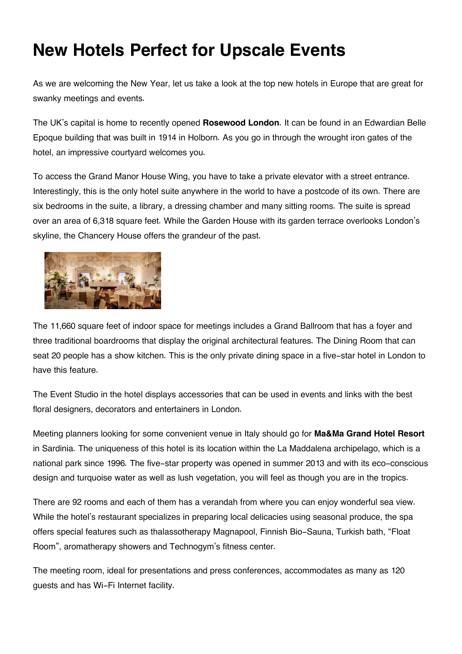## **New Hotels Perfect for Upscale Events**

As we are welcoming the New Year, let us take a look at the top new hotels in Europe that are great for swanky meetings and events.

The UK's capital is home to recently opened **Rosewood London**. It can be found in an Edwardian Belle Epoque building that was built in 1914 in Holborn. As you go in through the wrought iron gates of the hotel, an impressive courtyard welcomes you.

To access the Grand Manor House Wing, you have to take a private elevator with a street entrance. Interestingly, this is the only hotel suite anywhere in the world to have a postcode of its own. There are six bedrooms in the suite, a library, a dressing chamber and many sitting rooms. The suite is spread over an area of 6,318 square feet. While the Garden House with its garden terrace overlooks London's skyline, the Chancery House offers the grandeur of the past.



The 11,660 square feet of indoor space for meetings includes a Grand Ballroom that has a foyer and three traditional boardrooms that display the original architectural features. The Dining Room that can seat 20 people has a show kitchen. This is the only private dining space in a five-star hotel in London to have this feature.

The Event Studio in the hotel displays accessories that can be used in events and links with the best floral designers, decorators and entertainers in London.

Meeting planners looking for some convenient venue in Italy should go for **Ma&Ma Grand Hotel Resort** in Sardinia. The uniqueness of this hotel is its location within the La Maddalena archipelago, which is a national park since 1996. The five-star property was opened in summer 2013 and with its eco-conscious design and turquoise water as well as lush vegetation, you will feel as though you are in the tropics.

There are 92 rooms and each of them has a verandah from where you can enjoy wonderful sea view. While the hotel's restaurant specializes in preparing local delicacies using seasonal produce, the spa offers special features such as thalassotherapy Magnapool, Finnish Bio-Sauna, Turkish bath, "Float Room", aromatherapy showers and Technogym's fitness center.

The meeting room, ideal for presentations and press conferences, accommodates as many as 120 guests and has Wi-Fi Internet facility.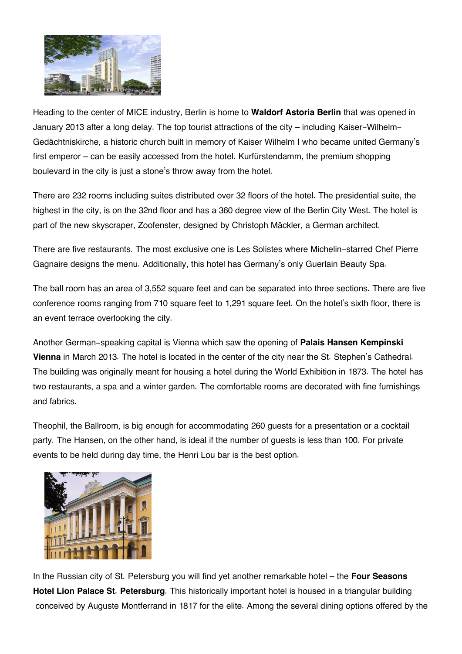

Heading to the center of MICE industry, Berlin is home to **Waldorf Astoria Berlin** that was opened in January 2013 after a long delay. The top tourist attractions of the city – including Kaiser-Wilhelm-Gedächtniskirche, a historic church built in memory of Kaiser Wilhelm I who became united Germany's first emperor – can be easily accessed from the hotel. Kurfürstendamm, the premium shopping boulevard in the city is just a stone's throw away from the hotel.

There are 232 rooms including suites distributed over 32 floors of the hotel. The presidential suite, the highest in the city, is on the 32nd floor and has a 360 degree view of the Berlin City West. The hotel is part of the new skyscraper, Zoofenster, designed by Christoph Mäckler, a German architect.

There are five restaurants. The most exclusive one is Les Solistes where Michelin-starred Chef Pierre Gagnaire designs the menu. Additionally, this hotel has Germany's only Guerlain Beauty Spa.

The ball room has an area of 3,552 square feet and can be separated into three sections. There are five conference rooms ranging from 710 square feet to 1,291 square feet. On the hotel's sixth floor, there is an event terrace overlooking the city.

Another German-speaking capital is Vienna which saw the opening of **Palais Hansen Kempinski Vienna** in March 2013. The hotel is located in the center of the city near the St. Stephen's Cathedral. The building was originally meant for housing a hotel during the World Exhibition in 1873. The hotel has two restaurants, a spa and a winter garden. The comfortable rooms are decorated with fine furnishings and fabrics.

Theophil, the Ballroom, is big enough for accommodating 260 guests for a presentation or a cocktail party. The Hansen, on the other hand, is ideal if the number of guests is less than 100. For private events to be held during day time, the Henri Lou bar is the best option.



In the Russian city of St. Petersburg you will find yet another remarkable hotel – the **Four Seasons Hotel Lion Palace St. Petersburg**. This historically important hotel is housed in a triangular building conceived by Auguste Montferrand in 1817 for the elite. Among the several dining options offered by the